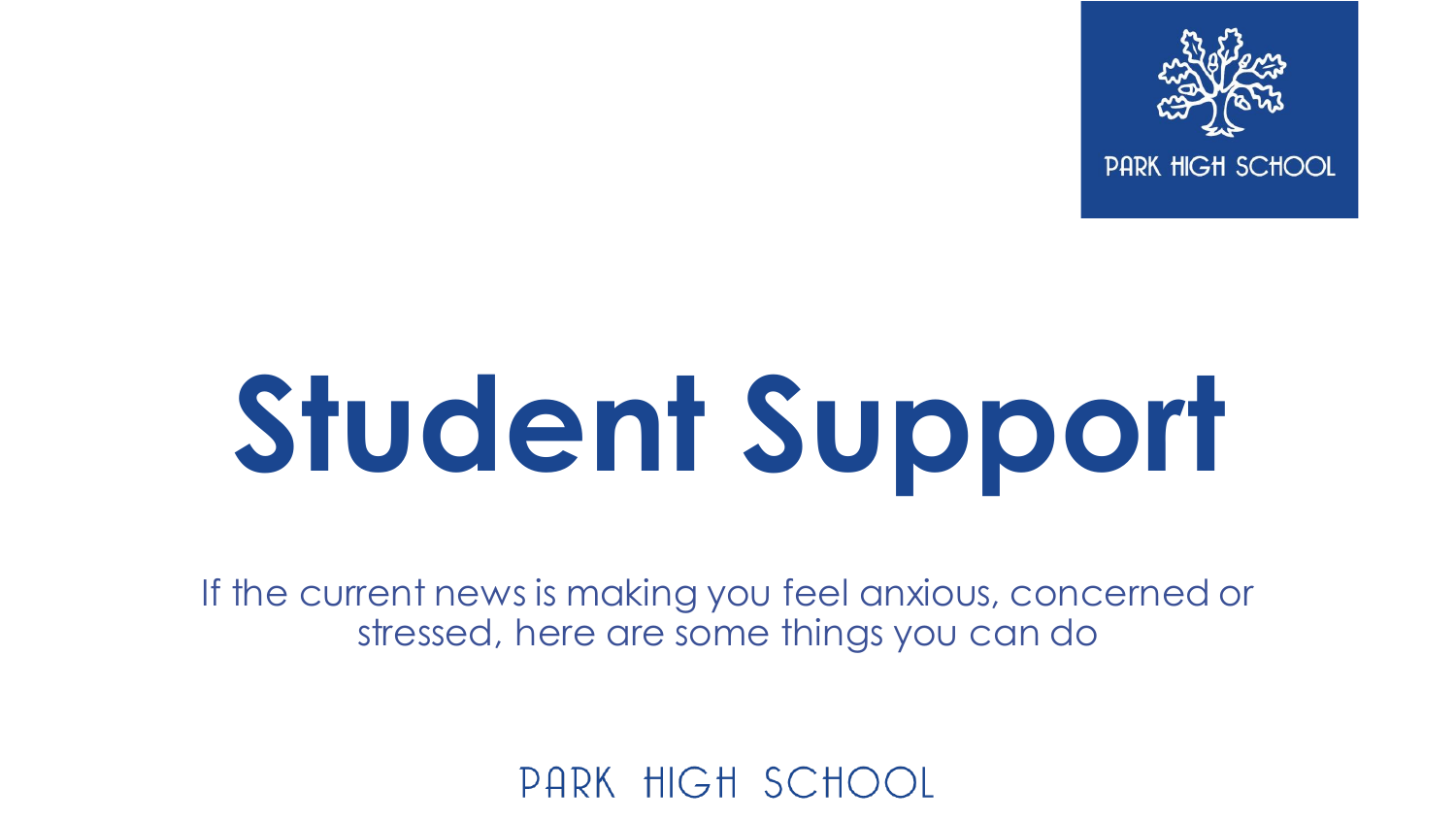

# **Student Support**

If the current news is making you feel anxious, concerned or stressed, here are some things you can do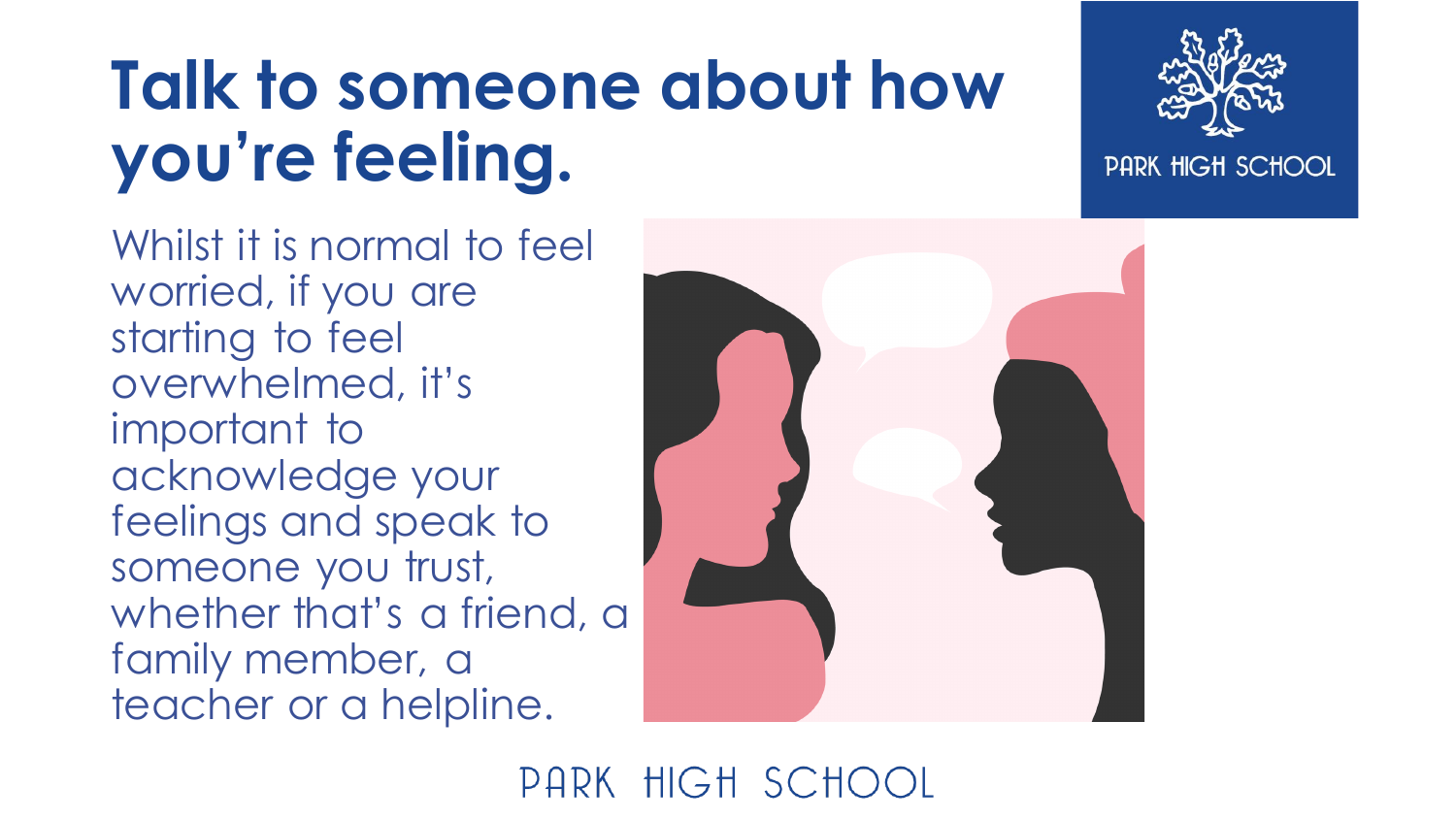### **Talk to someone about how you're feeling.**





#### PARK HIGH SCHOOL

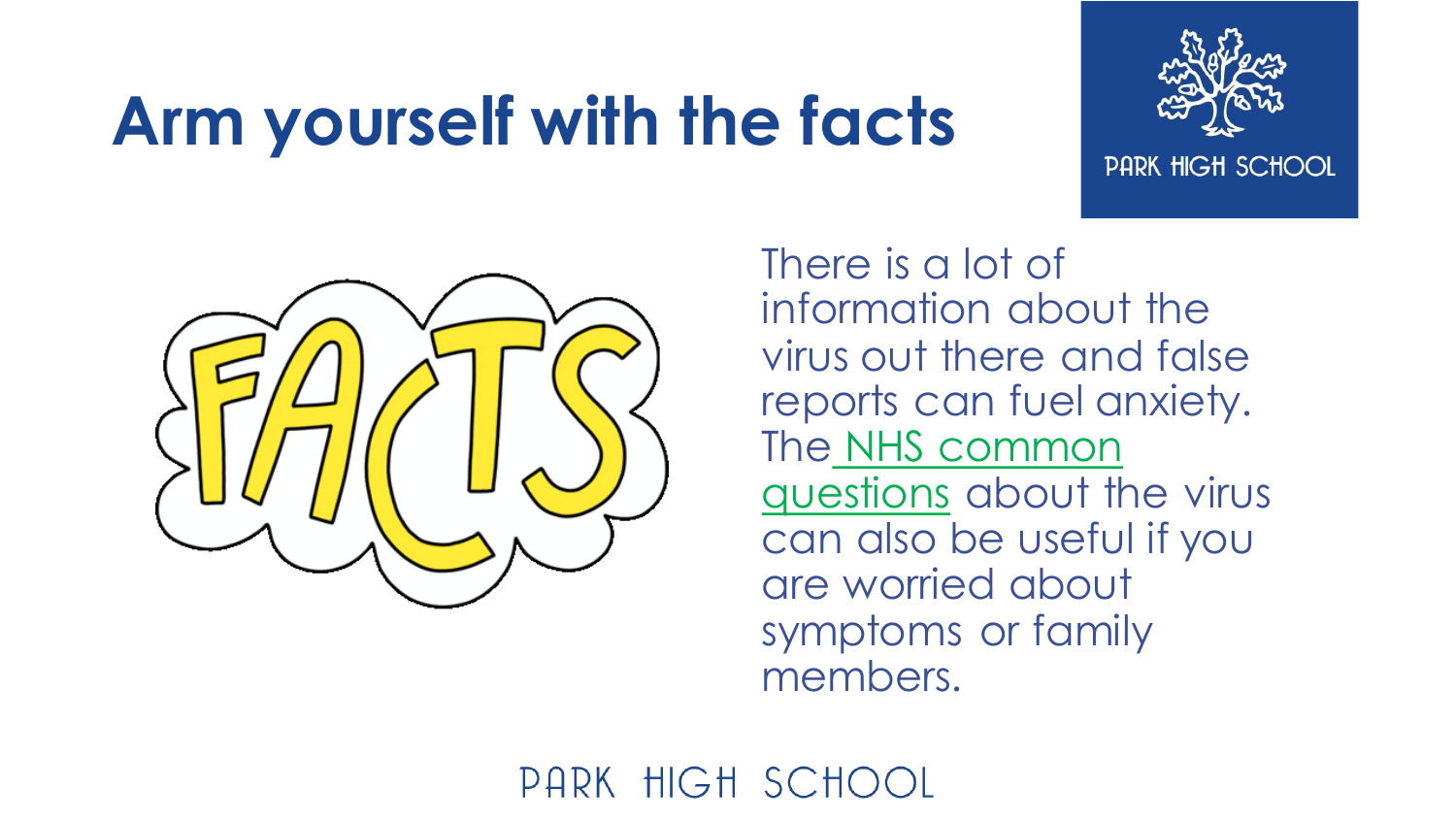### **Arm yourself with the facts**



PARK HIGH SCHOOL



There is a lot of information about the virus out there and false reports can fuel anxiety. The [NHS common](https://www.nhs.uk/conditions/coronavirus-covid-19/common-questions/)  questions about the virus can also be useful if you are worried about symptoms or family members.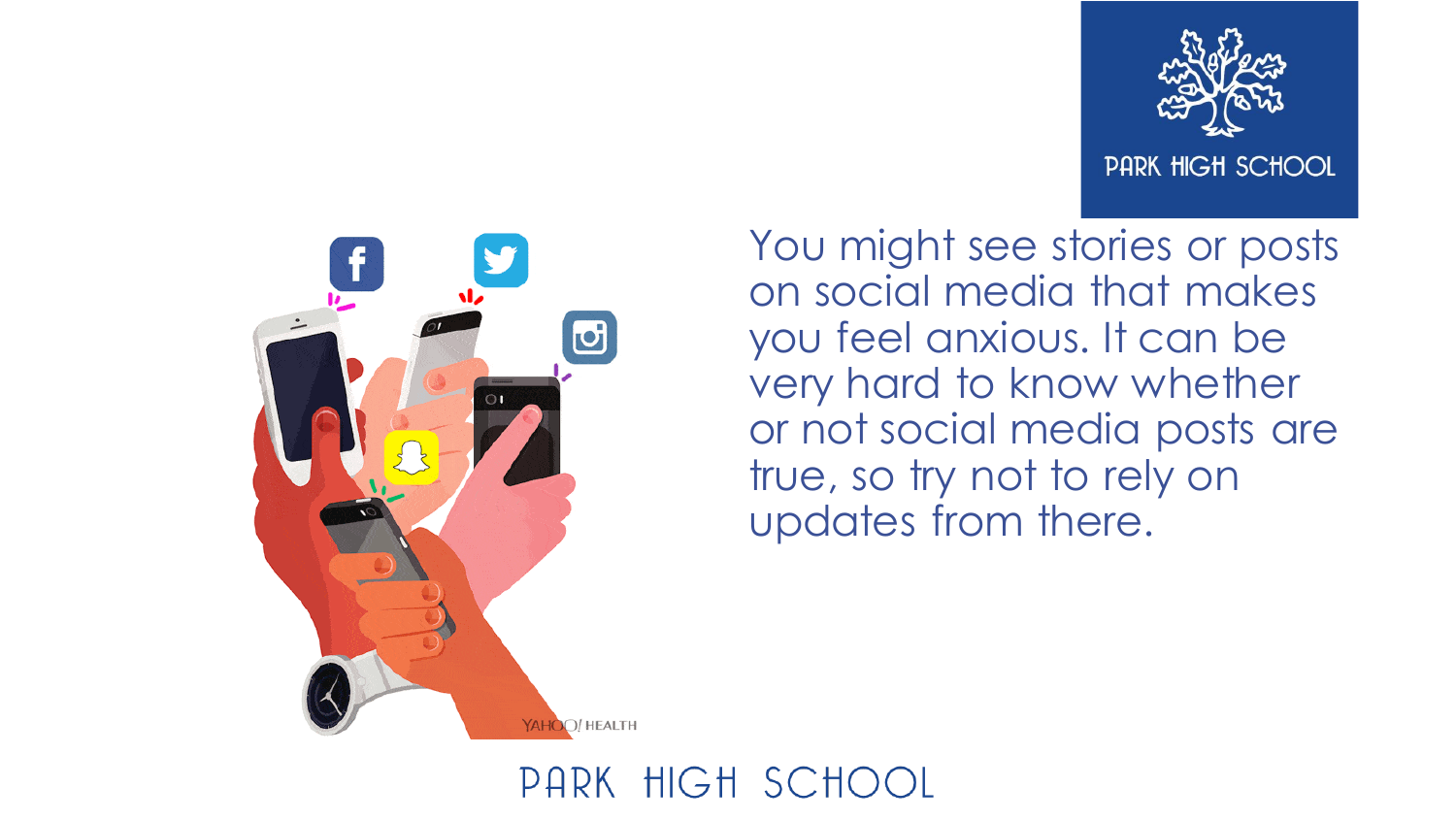

PARK HIGH SCHOOL



You might see stories or posts on social media that makes you feel anxious. It can be very hard to know whether or not social media posts are true, so try not to rely on updates from there.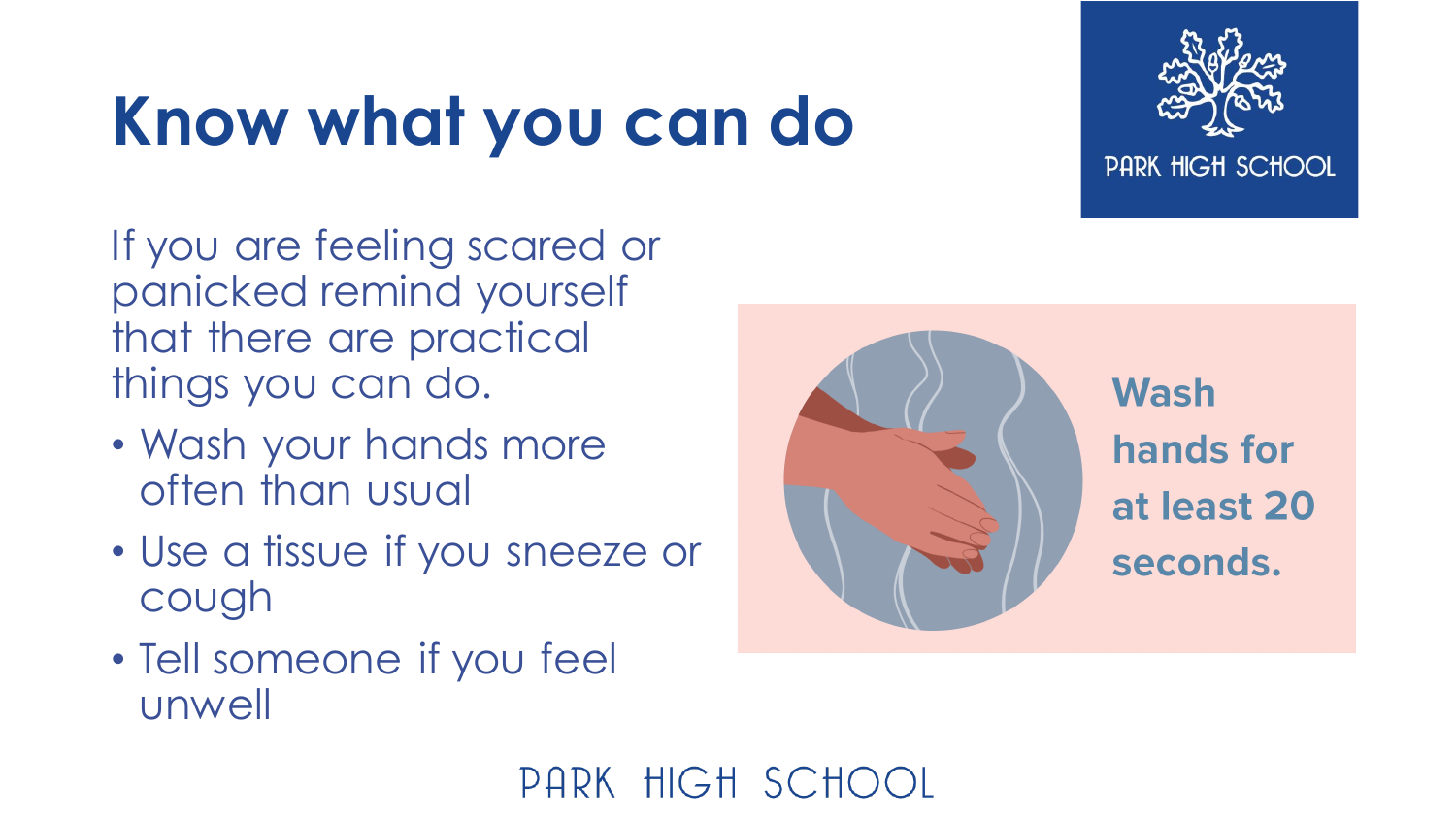## **Know what you can do**



If you are feeling scared or panicked remind yourself that there are practical things you can do.

- Wash your hands more often than usual
- Use a tissue if you sneeze or cough
- Tell someone if you feel unwell

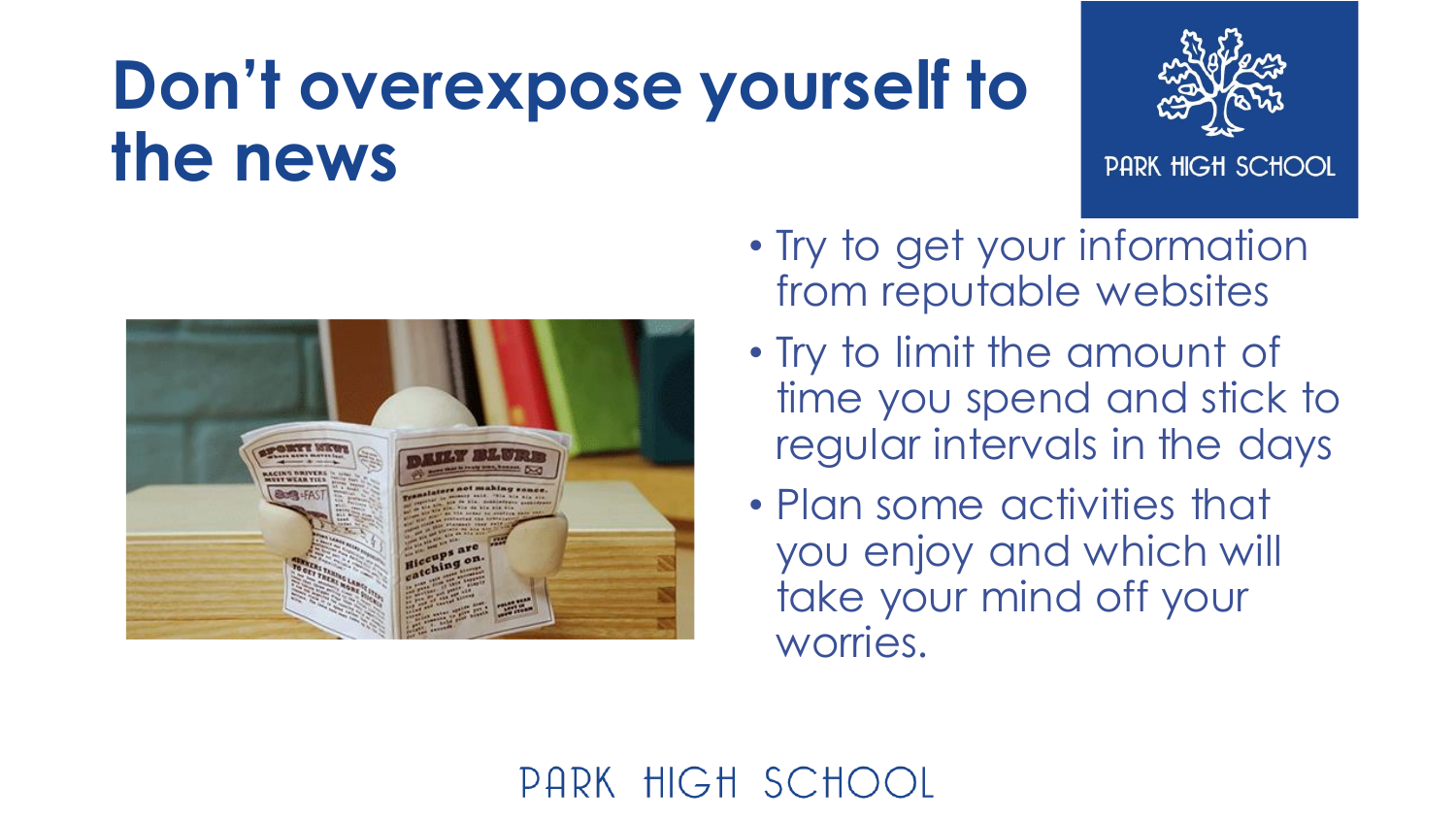#### **Don't overexpose yourself to the news**



PARK HIGH SCHOOL



- Try to get your information from reputable websites
- Try to limit the amount of time you spend and stick to regular intervals in the days
- Plan some activities that you enjoy and which will take your mind off your worries.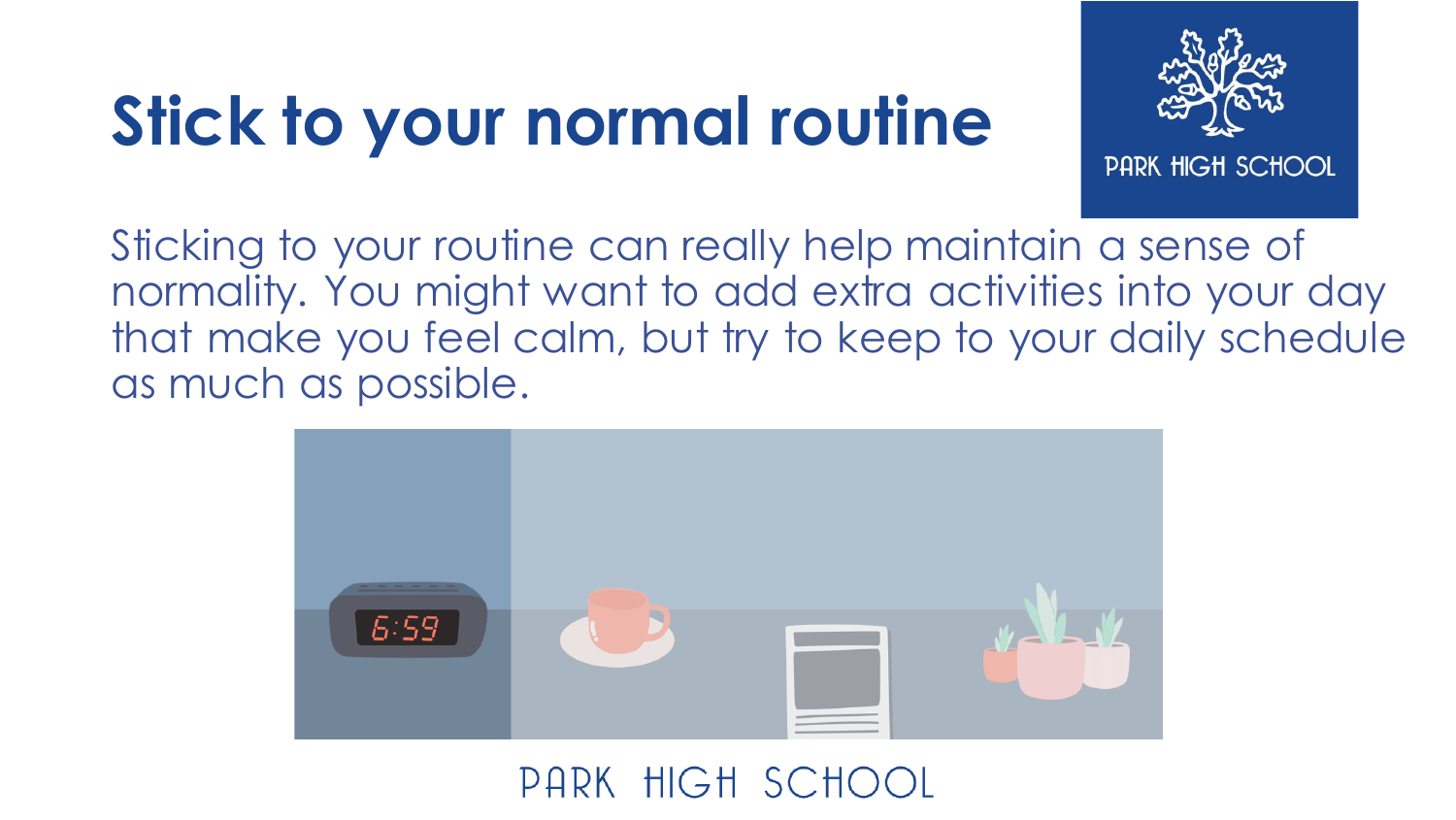### **Stick to your normal routine**



PARK HIGH SCHOOL

Sticking to your routine can really help maintain a sense of normality. You might want to add extra activities into your day that make you feel calm, but try to keep to your daily schedule as much as possible.

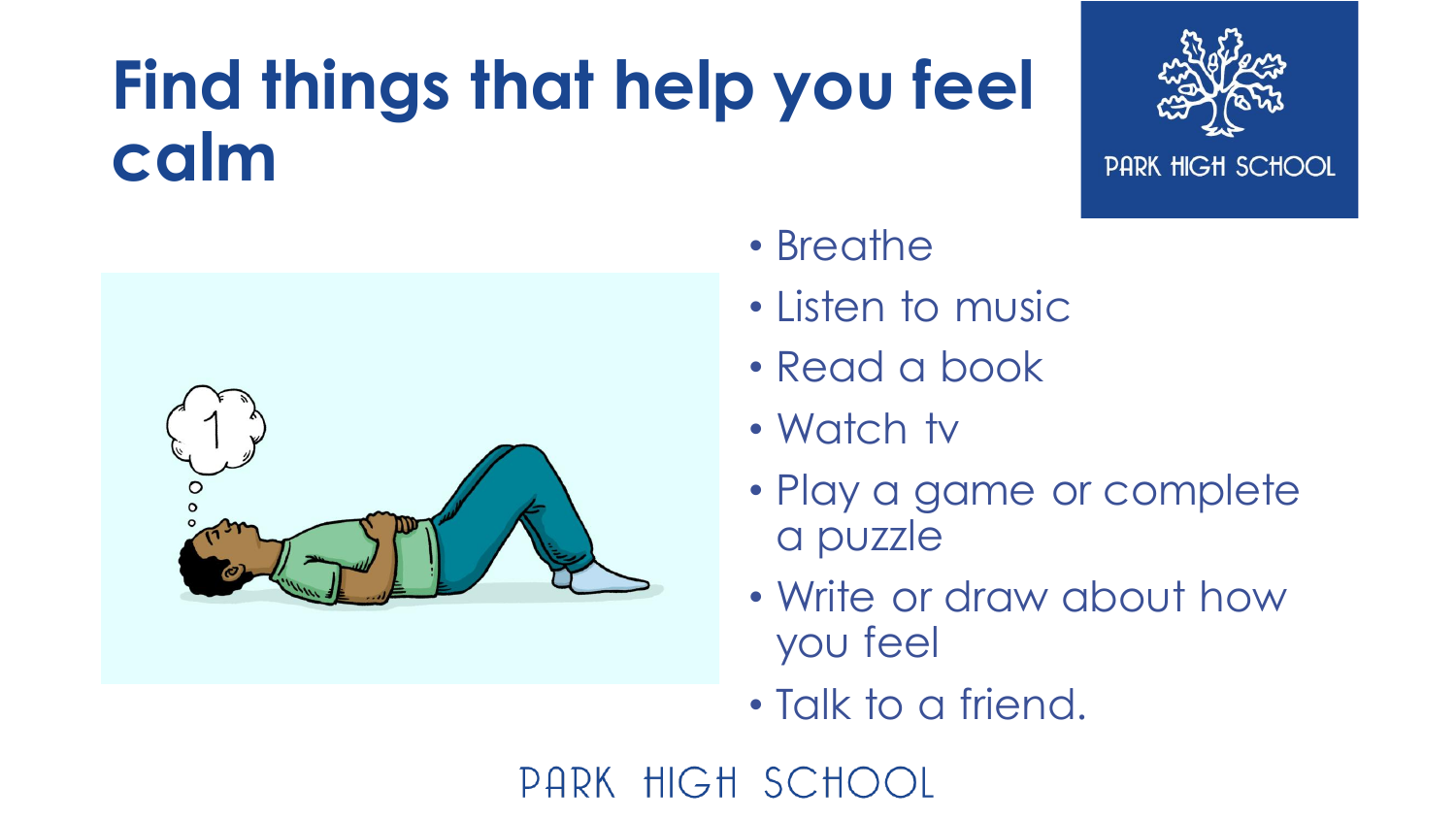### **Find things that help you feel calm**



PARK HIGH SCHOOL



- Breathe
- Listen to music
- Read a book
- Watch tv
- Play a game or complete a puzzle
- Write or draw about how you feel
- Talk to a friend.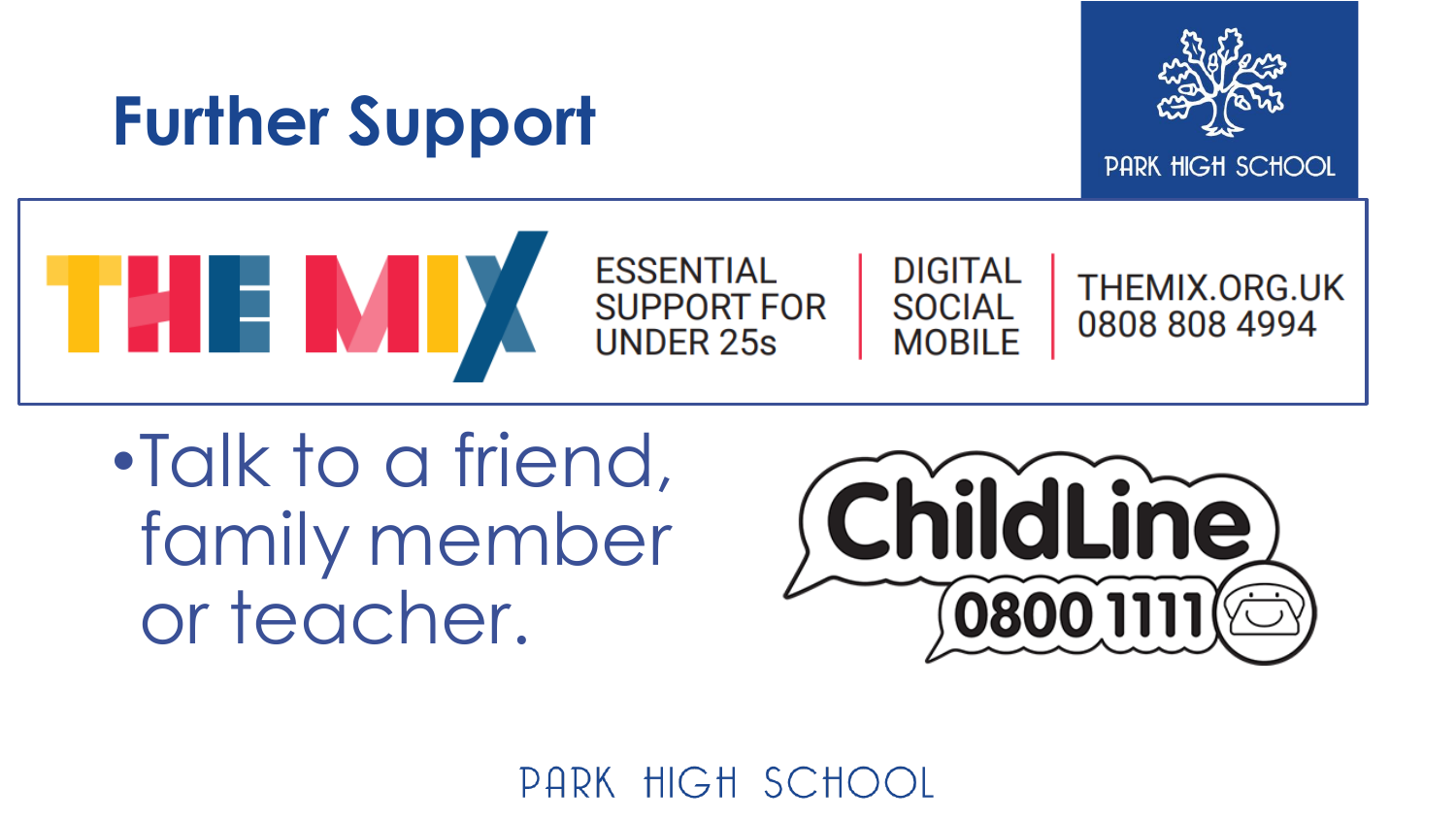#### **Further Support**



PARK HIGH SCHOOL



**ESSENTIAL SUPPORT FOR UNDER 25s** 



THEMIX.ORG.UK 0808 808 4994

•Talk to a friend, family member or teacher.